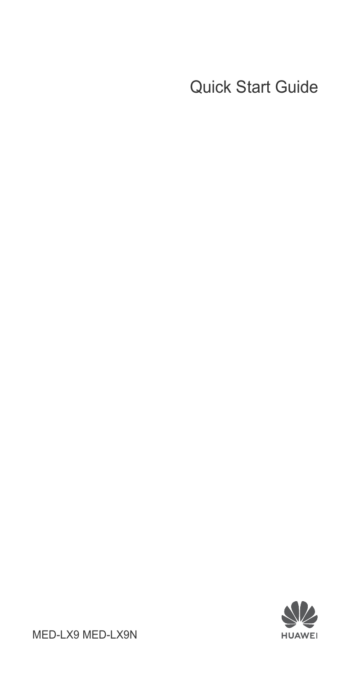### Quick Start Guide



MED-LX9 MED-LX9N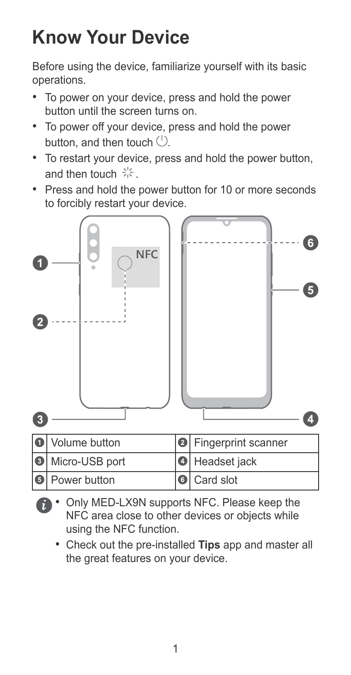## **Know Your Device**

Before using the device, familiarize yourself with its basic operations.

- To power on your device, press and hold the power button until the screen turns on.
- To power off your device, press and hold the power button, and then touch  $($ <sup>t</sup> $)$ .
- To restart your device, press and hold the power button, and then touch  $\frac{1}{2}$ .
- Press and hold the power button for 10 or more seconds to forcibly restart your device.



- Only MED-LX9N supports NFC. Please keep the NFC area close to other devices or objects while using the NFC function.
	- Check out the pre-installed **Tips** app and master all the great features on your device.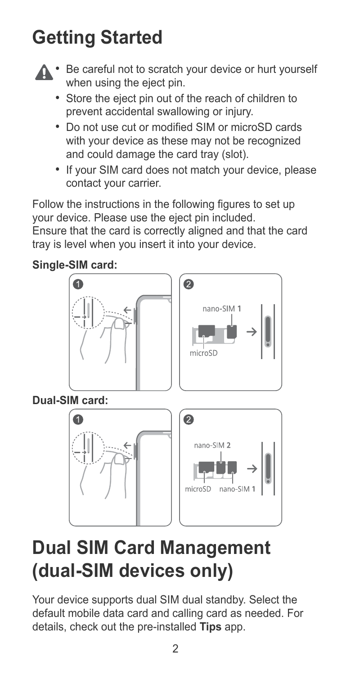## **Getting Started**



- Store the eject pin out of the reach of children to prevent accidental swallowing or injury.
- Do not use cut or modified SIM or microSD cards with your device as these may not be recognized and could damage the card tray (slot).
- If your SIM card does not match your device, please contact your carrier.

Follow the instructions in the following figures to set up your device. Please use the eject pin included.

Ensure that the card is correctly aligned and that the card tray is level when you insert it into your device.

#### **Single-SIM card:**



## **Dual SIM Card Management (dual-SIM devices only)**

Your device supports dual SIM dual standby. Select the default mobile data card and calling card as needed. For details, check out the pre-installed **Tips** app.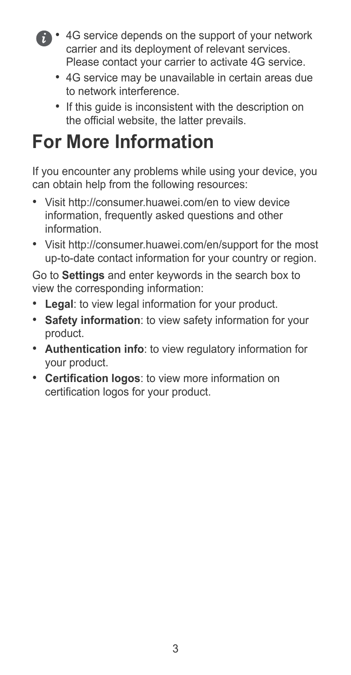- 4G service depends on the support of your network carrier and its deployment of relevant services. Please contact your carrier to activate 4G service.
	- 4G service may be unavailable in certain areas due to network interference.
	- If this guide is inconsistent with the description on the official website, the latter prevails.

# **For More Information**

If you encounter any problems while using your device, you can obtain help from the following resources:

- Visit http://consumer.huawei.com/en to view device information, frequently asked questions and other information.
- Visit http://consumer.huawei.com/en/support for the most up-to-date contact information for your country or region.

Go to **Settings** and enter keywords in the search box to view the corresponding information:

- **Legal**: to view legal information for your product.
- **Safety information**: to view safety information for your product.
- **Authentication info**: to view regulatory information for your product.
- **Certification logos**: to view more information on certification logos for your product.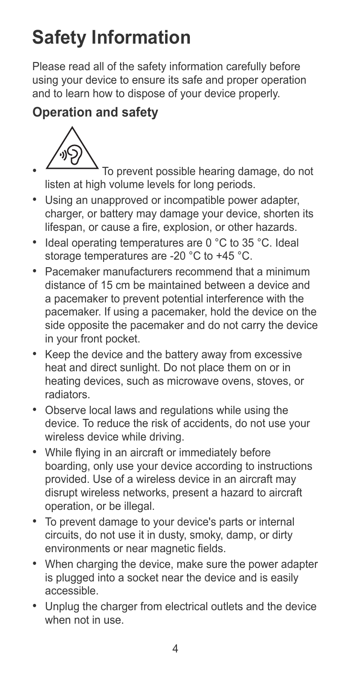# **Safety Information**

Please read all of the safety information carefully before using your device to ensure its safe and proper operation and to learn how to dispose of your device properly.

### **Operation and safety**



• To prevent possible hearing damage, do not listen at high volume levels for long periods.

- Using an unapproved or incompatible power adapter, charger, or battery may damage your device, shorten its lifespan, or cause a fire, explosion, or other hazards.
- Ideal operating temperatures are 0 °C to 35 °C. Ideal storage temperatures are -20 °C to +45 °C.
- Pacemaker manufacturers recommend that a minimum distance of 15 cm be maintained between a device and a pacemaker to prevent potential interference with the pacemaker. If using a pacemaker, hold the device on the side opposite the pacemaker and do not carry the device in your front pocket.
- Keep the device and the battery away from excessive heat and direct sunlight. Do not place them on or in heating devices, such as microwave ovens, stoves, or radiators.
- Observe local laws and regulations while using the device. To reduce the risk of accidents, do not use your wireless device while driving.
- While flying in an aircraft or immediately before boarding, only use your device according to instructions provided. Use of a wireless device in an aircraft may disrupt wireless networks, present a hazard to aircraft operation, or be illegal.
- To prevent damage to your device's parts or internal circuits, do not use it in dusty, smoky, damp, or dirty environments or near magnetic fields.
- When charging the device, make sure the power adapter is plugged into a socket near the device and is easily accessible.
- Unplug the charger from electrical outlets and the device when not in use.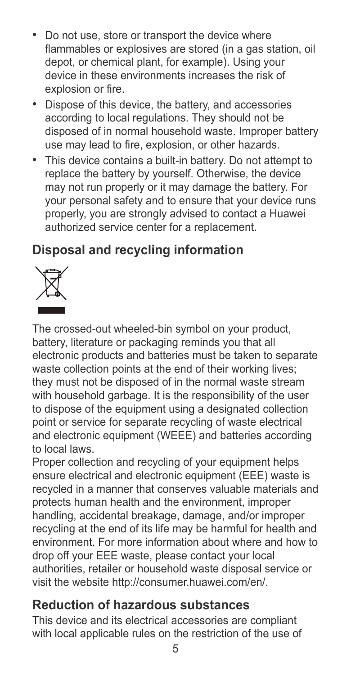- Do not use, store or transport the device where flammables or explosives are stored (in a gas station, oil depot, or chemical plant, for example). Using your device in these environments increases the risk of explosion or fire.
- Dispose of this device, the battery, and accessories according to local regulations. They should not be disposed of in normal household waste. Improper battery use may lead to fire, explosion, or other hazards.
- This device contains a built-in battery. Do not attempt to replace the battery by yourself. Otherwise, the device may not run properly or it may damage the battery. For your personal safety and to ensure that your device runs properly, you are strongly advised to contact a Huawei authorized service center for a replacement.

### **Disposal and recycling information**



The crossed-out wheeled-bin symbol on your product, battery, literature or packaging reminds you that all electronic products and batteries must be taken to separate waste collection points at the end of their working lives; they must not be disposed of in the normal waste stream with household garbage. It is the responsibility of the user to dispose of the equipment using a designated collection point or service for separate recycling of waste electrical and electronic equipment (WEEE) and batteries according to local laws.

Proper collection and recycling of your equipment helps ensure electrical and electronic equipment (EEE) waste is recycled in a manner that conserves valuable materials and protects human health and the environment, improper handling, accidental breakage, damage, and/or improper recycling at the end of its life may be harmful for health and environment. For more information about where and how to drop off your EEE waste, please contact your local authorities, retailer or household waste disposal service or visit the website http://consumer.huawei.com/en/.

#### **Reduction of hazardous substances**

This device and its electrical accessories are compliant with local applicable rules on the restriction of the use of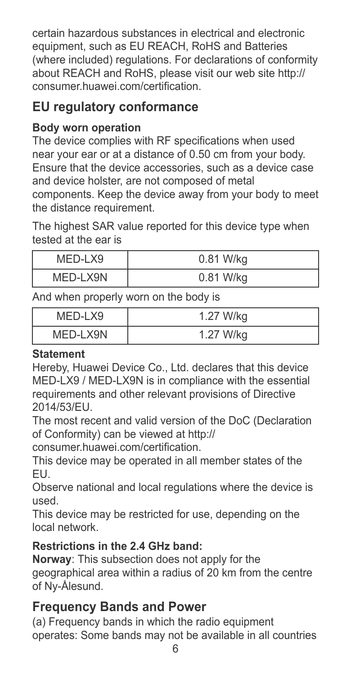certain hazardous substances in electrical and electronic equipment, such as EU REACH, RoHS and Batteries (where included) regulations. For declarations of conformity about REACH and RoHS, please visit our web site http:// consumer.huawei.com/certification.

### **EU regulatory conformance**

#### **Body worn operation**

The device complies with RF specifications when used near your ear or at a distance of 0.50 cm from your body. Ensure that the device accessories, such as a device case and device holster, are not composed of metal components. Keep the device away from your body to meet the distance requirement.

The highest SAR value reported for this device type when tested at the ear is

| MED-LX9  | 0.81 W/kg |
|----------|-----------|
| MED-LX9N | 0.81 W/kg |

And when properly worn on the body is

| MED-LX9  | 1.27 W/kg |
|----------|-----------|
| MED-LX9N | 1.27 W/kg |

#### **Statement**

Hereby, Huawei Device Co., Ltd. declares that this device MED-LX9 / MED-LX9N is in compliance with the essential requirements and other relevant provisions of Directive 2014/53/EU.

The most recent and valid version of the DoC (Declaration of Conformity) can be viewed at http://

consumer.huawei.com/certification.

This device may be operated in all member states of the EU.

Observe national and local regulations where the device is used.

This device may be restricted for use, depending on the local network.

#### **Restrictions in the 2.4 GHz band:**

**Norway**: This subsection does not apply for the geographical area within a radius of 20 km from the centre of Ny-Ålesund.

#### **Frequency Bands and Power**

(a) Frequency bands in which the radio equipment operates: Some bands may not be available in all countries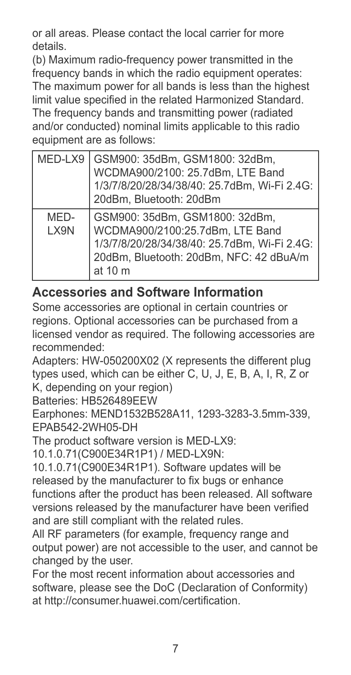or all areas. Please contact the local carrier for more details.

(b) Maximum radio-frequency power transmitted in the frequency bands in which the radio equipment operates: The maximum power for all bands is less than the highest limit value specified in the related Harmonized Standard. The frequency bands and transmitting power (radiated and/or conducted) nominal limits applicable to this radio equipment are as follows:

| MED-LX9      | GSM900: 35dBm, GSM1800: 32dBm,<br>WCDMA900/2100: 25.7dBm, LTE Band<br>1/3/7/8/20/28/34/38/40: 25.7dBm, Wi-Fi 2.4G:<br>20dBm, Bluetooth: 20dBm                            |
|--------------|--------------------------------------------------------------------------------------------------------------------------------------------------------------------------|
| MED-<br>LX9N | GSM900: 35dBm. GSM1800: 32dBm.<br>WCDMA900/2100:25.7dBm, LTE Band<br>1/3/7/8/20/28/34/38/40: 25.7dBm, Wi-Fi 2.4G:<br>20dBm. Bluetooth: 20dBm. NFC: 42 dBuA/m<br>at $10m$ |

#### **Accessories and Software Information**

Some accessories are optional in certain countries or regions. Optional accessories can be purchased from a licensed vendor as required. The following accessories are recommended:

Adapters: HW-050200X02 (X represents the different plug types used, which can be either C, U, J, E, B, A, I, R, Z or K, depending on your region)

Batteries: HB526489EEW

Earphones: MEND1532B528A11, 1293-3283-3.5mm-339, EPAB542-2WH05-DH

The product software version is MED-LX9:

10.1.0.71(C900E34R1P1) / MED-LX9N:

10.1.0.71(C900E34R1P1). Software updates will be released by the manufacturer to fix bugs or enhance functions after the product has been released. All software versions released by the manufacturer have been verified and are still compliant with the related rules.

All RF parameters (for example, frequency range and output power) are not accessible to the user, and cannot be changed by the user.

For the most recent information about accessories and software, please see the DoC (Declaration of Conformity) at http://consumer.huawei.com/certification.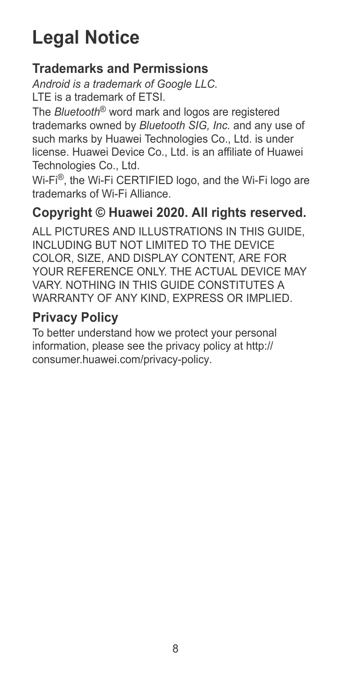## **Legal Notice**

#### **Trademarks and Permissions**

*Android is a trademark of Google LLC.* LTE is a trademark of ETSI.

The *Bluetooth*® word mark and logos are registered trademarks owned by *Bluetooth SIG, Inc.* and any use of such marks by Huawei Technologies Co., Ltd. is under license. Huawei Device Co., Ltd. is an affiliate of Huawei Technologies Co., Ltd.

Wi-Fi<sup>®</sup>, the Wi-Fi CERTIFIED logo, and the Wi-Fi logo are trademarks of Wi-Fi Alliance.

### **Copyright © Huawei 2020. All rights reserved.**

ALL PICTURES AND ILLUSTRATIONS IN THIS GUIDE, INCLUDING BUT NOT LIMITED TO THE DEVICE COLOR, SIZE, AND DISPLAY CONTENT, ARE FOR YOUR REFERENCE ONLY. THE ACTUAL DEVICE MAY VARY. NOTHING IN THIS GUIDE CONSTITUTES A WARRANTY OF ANY KIND, EXPRESS OR IMPLIED.

### **Privacy Policy**

To better understand how we protect your personal information, please see the privacy policy at http:// consumer.huawei.com/privacy-policy.